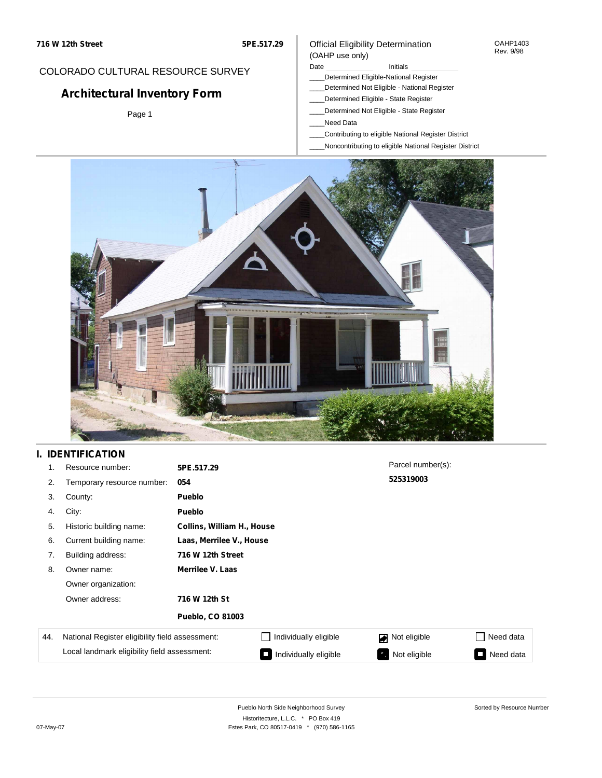#### OAHP1403 Rev. 9/98

## COLORADO CULTURAL RESOURCE SURVEY

# **Architectural Inventory Form**

Page 1

### (OAHP use only) Date **Initials** Initials

Official Eligibility Determination

- \_\_\_\_Determined Eligible-National Register
- \_\_\_\_Determined Not Eligible National Register
- \_\_\_\_Determined Eligible State Register
- \_\_\_\_Determined Not Eligible State Register
- \_\_\_\_Need Data
- \_\_\_\_Contributing to eligible National Register District
- \_\_\_\_Noncontributing to eligible National Register District



## **I. IDENTIFICATION**

| 1.  | Resource number:                                | 5PE.517.29              |                            | Parcel number(s): |           |  |  |  |
|-----|-------------------------------------------------|-------------------------|----------------------------|-------------------|-----------|--|--|--|
| 2.  | Temporary resource number:                      | 054                     |                            | 525319003         |           |  |  |  |
| 3.  | County:                                         | <b>Pueblo</b>           |                            |                   |           |  |  |  |
| 4.  | City:                                           | <b>Pueblo</b>           |                            |                   |           |  |  |  |
| 5.  | Historic building name:                         |                         | Collins, William H., House |                   |           |  |  |  |
| 6.  | Current building name:                          |                         | Laas, Merrilee V., House   |                   |           |  |  |  |
| 7.  | Building address:                               | 716 W 12th Street       |                            |                   |           |  |  |  |
| 8.  | Owner name:                                     | Merrilee V. Laas        |                            |                   |           |  |  |  |
|     | Owner organization:                             |                         |                            |                   |           |  |  |  |
|     | Owner address:                                  | 716 W 12th St           |                            |                   |           |  |  |  |
|     |                                                 | <b>Pueblo, CO 81003</b> |                            |                   |           |  |  |  |
| 44. | National Register eligibility field assessment: |                         | Individually eligible      | Not eligible<br>◪ | Need data |  |  |  |
|     | Local landmark eligibility field assessment:    |                         | Individually eligible      | Not eligible      | Need data |  |  |  |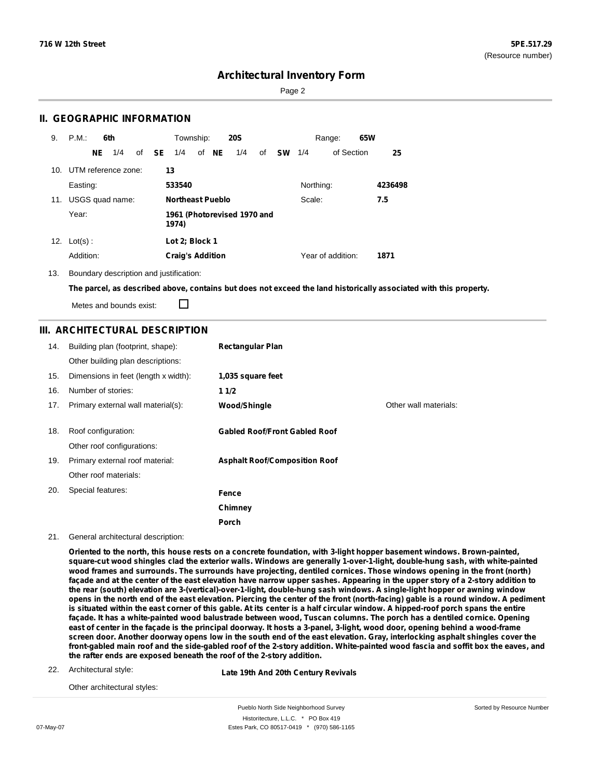Sorted by Resource Number

## **Architectural Inventory Form**

Page 2

### **II. GEOGRAPHIC INFORMATION**

| 9.  | P.M.                    |    | 6th             |              | Township:               |       | <b>20S</b>                  |    |           |           | Range:            | 65W |         |
|-----|-------------------------|----|-----------------|--------------|-------------------------|-------|-----------------------------|----|-----------|-----------|-------------------|-----|---------|
|     |                         | NE | 1/4             | of <b>SE</b> | 1/4                     | of NE | 1/4                         | of | <b>SW</b> | 1/4       | of Section        |     | 25      |
|     | 10. UTM reference zone: |    |                 |              | 13                      |       |                             |    |           |           |                   |     |         |
|     | Easting:                |    |                 |              | 533540                  |       |                             |    |           | Northing: |                   |     | 4236498 |
| 11. |                         |    | USGS quad name: |              | <b>Northeast Pueblo</b> |       |                             |    |           | Scale:    |                   |     | 7.5     |
|     | Year:                   |    |                 |              | 1974)                   |       | 1961 (Photorevised 1970 and |    |           |           |                   |     |         |
| 12. | $Lot(s)$ :              |    |                 |              | Lot 2: Block 1          |       |                             |    |           |           |                   |     |         |
|     | Addition:               |    |                 |              | <b>Craig's Addition</b> |       |                             |    |           |           | Year of addition: |     | 1871    |

13. Boundary description and justification:

The parcel, as described above, contains but does not exceed the land historically associated with this property.

Metes and bounds exist:

П

### **III. ARCHITECTURAL DESCRIPTION**

| 14. | Building plan (footprint, shape):<br>Other building plan descriptions: | <b>Rectangular Plan</b>              |                       |
|-----|------------------------------------------------------------------------|--------------------------------------|-----------------------|
| 15. | Dimensions in feet (length x width):                                   | 1,035 square feet                    |                       |
| 16. | Number of stories:                                                     | 11/2                                 |                       |
| 17. | Primary external wall material(s):                                     | Wood/Shingle                         | Other wall materials: |
|     |                                                                        |                                      |                       |
| 18. | Roof configuration:                                                    | <b>Gabled Roof/Front Gabled Roof</b> |                       |
|     | Other roof configurations:                                             |                                      |                       |
| 19. | Primary external roof material:                                        | <b>Asphalt Roof/Composition Roof</b> |                       |
|     | Other roof materials:                                                  |                                      |                       |
| 20. | Special features:                                                      | Fence                                |                       |
|     |                                                                        | Chimney                              |                       |
|     |                                                                        | Porch                                |                       |

21. General architectural description:

Oriented to the north, this house rests on a concrete foundation, with 3-light hopper basement windows. Brown-painted, square-cut wood shingles clad the exterior walls. Windows are generally 1-over-1-light, double-hung sash, with white-painted wood frames and surrounds. The surrounds have projecting, dentiled cornices. Those windows opening in the front (north) façade and at the center of the east elevation have narrow upper sashes. Appearing in the upper story of a 2-story addition to the rear (south) elevation are 3-(vertical)-over-1-light, double-hung sash windows. A single-light hopper or awning window opens in the north end of the east elevation. Piercing the center of the front (north-facing) gable is a round window. A pediment is situated within the east corner of this gable. At its center is a half circular window. A hipped-roof porch spans the entire façade. It has a white-painted wood balustrade between wood, Tuscan columns. The porch has a dentiled cornice. Opening east of center in the façade is the principal doorway. It hosts a 3-panel, 3-light, wood door, opening behind a wood-frame screen door. Another doorway opens low in the south end of the east elevation. Gray, interlocking asphalt shingles cover the front-gabled main roof and the side-gabled roof of the 2-story addition. White-painted wood fascia and soffit box the eaves, and **the rafter ends are exposed beneath the roof of the 2-story addition.**

22. Architectural style:

**Late 19th And 20th Century Revivals**

Other architectural styles:

Pueblo North Side Neighborhood Survey Historitecture, L.L.C. \* PO Box 419 07-May-07 **Estes Park, CO 80517-0419** \* (970) 586-1165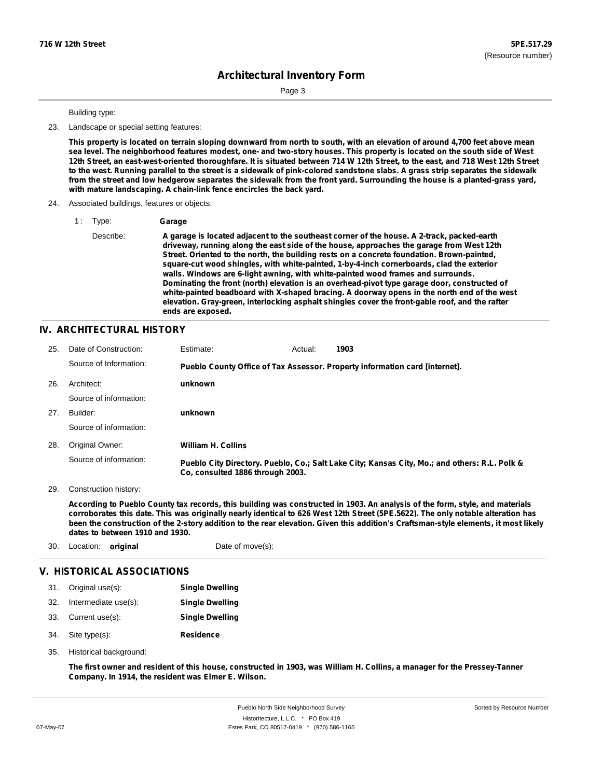Sorted by Resource Number

# **Architectural Inventory Form**

Page 3

#### Building type:

23. Landscape or special setting features:

This property is located on terrain sloping downward from north to south, with an elevation of around 4,700 feet above mean sea level. The neighborhood features modest, one- and two-story houses. This property is located on the south side of West 12th Street, an east-west-oriented thoroughfare. It is situated between 714 W 12th Street, to the east, and 718 West 12th Street to the west. Running parallel to the street is a sidewalk of pink-colored sandstone slabs. A grass strip separates the sidewalk from the street and low hedgerow separates the sidewalk from the front yard. Surrounding the house is a planted-grass yard, **with mature landscaping. A chain-link fence encircles the back yard.**

#### 24. Associated buildings, features or objects:

1 : Type: **Garage**

Describe: **A garage is located adjacent to the southeast corner of the house. A 2-track, packed-earth driveway, running along the east side of the house, approaches the garage from West 12th Street. Oriented to the north, the building rests on a concrete foundation. Brown-painted, square-cut wood shingles, with white-painted, 1-by-4-inch cornerboards, clad the exterior walls. Windows are 6-light awning, with white-painted wood frames and surrounds. Dominating the front (north) elevation is an overhead-pivot type garage door, constructed of white-painted beadboard with X-shaped bracing. A doorway opens in the north end of the west elevation. Gray-green, interlocking asphalt shingles cover the front-gable roof, and the rafter ends are exposed.**

### **IV. ARCHITECTURAL HISTORY**

| 25. | Date of Construction:  | Estimate:                        | Actual: | 1903                                                                                          |
|-----|------------------------|----------------------------------|---------|-----------------------------------------------------------------------------------------------|
|     | Source of Information: |                                  |         | Pueblo County Office of Tax Assessor. Property information card [internet].                   |
| 26. | Architect:             | unknown                          |         |                                                                                               |
|     | Source of information: |                                  |         |                                                                                               |
| 27. | Builder:               | unknown                          |         |                                                                                               |
|     | Source of information: |                                  |         |                                                                                               |
| 28. | Original Owner:        | <b>William H. Collins</b>        |         |                                                                                               |
|     | Source of information: | Co. consulted 1886 through 2003. |         | Pueblo City Directory. Pueblo, Co.; Salt Lake City; Kansas City, Mo.; and others: R.L. Polk & |

29. Construction history:

According to Pueblo County tax records, this building was constructed in 1903. An analysis of the form, style, and materials corroborates this date. This was originally nearly identical to 626 West 12th Street (5PE.5622). The only notable alteration has been the construction of the 2-story addition to the rear elevation. Given this addition's Craftsman-style elements, it most likely **dates to between 1910 and 1930.**

| 30. | Location: <b>original</b>  | Date of move(s):       |  |
|-----|----------------------------|------------------------|--|
|     | V. HISTORICAL ASSOCIATIONS |                        |  |
| 31. | Original use(s):           | <b>Single Dwelling</b> |  |
| 32. | Intermediate use(s):       | <b>Single Dwelling</b> |  |
| 33. | Current use(s):            | <b>Single Dwelling</b> |  |
| 34. | Site type(s):              | <b>Residence</b>       |  |

35. Historical background:

The first owner and resident of this house, constructed in 1903, was William H. Collins, a manager for the Pressey-Tanner **Company. In 1914, the resident was Elmer E. Wilson.**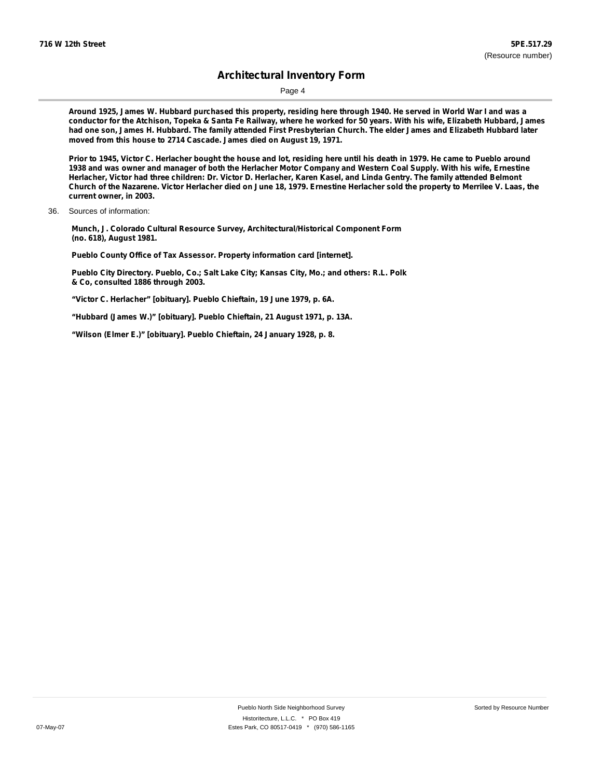Page 4

Around 1925, James W. Hubbard purchased this property, residing here through 1940. He served in World War I and was a conductor for the Atchison, Topeka & Santa Fe Railway, where he worked for 50 years. With his wife, Elizabeth Hubbard, James had one son, James H. Hubbard. The family attended First Presbyterian Church. The elder James and Elizabeth Hubbard later **moved from this house to 2714 Cascade. James died on August 19, 1971.**

Prior to 1945, Victor C. Herlacher bought the house and lot, residing here until his death in 1979. He came to Pueblo around 1938 and was owner and manager of both the Herlacher Motor Company and Western Coal Supply. With his wife, Ernestine Herlacher, Victor had three children: Dr. Victor D. Herlacher, Karen Kasel, and Linda Gentry. The family attended Belmont Church of the Nazarene. Victor Herlacher died on June 18, 1979. Ernestine Herlacher sold the property to Merrilee V. Laas, the **current owner, in 2003.**

**Munch, J. Colorado Cultural Resource Survey, Architectural/Historical Component Form (no. 618), August 1981.**

**Pueblo County Office of Tax Assessor. Property information card [internet].**

**Pueblo City Directory. Pueblo, Co.; Salt Lake City; Kansas City, Mo.; and others: R.L. Polk & Co, consulted 1886 through 2003.**

**"Victor C. Herlacher" [obituary]. Pueblo Chieftain, 19 June 1979, p. 6A.**

**"Hubbard (James W.)" [obituary]. Pueblo Chieftain, 21 August 1971, p. 13A.**

**"Wilson (Elmer E.)" [obituary]. Pueblo Chieftain, 24 January 1928, p. 8.**

<sup>36.</sup> Sources of information: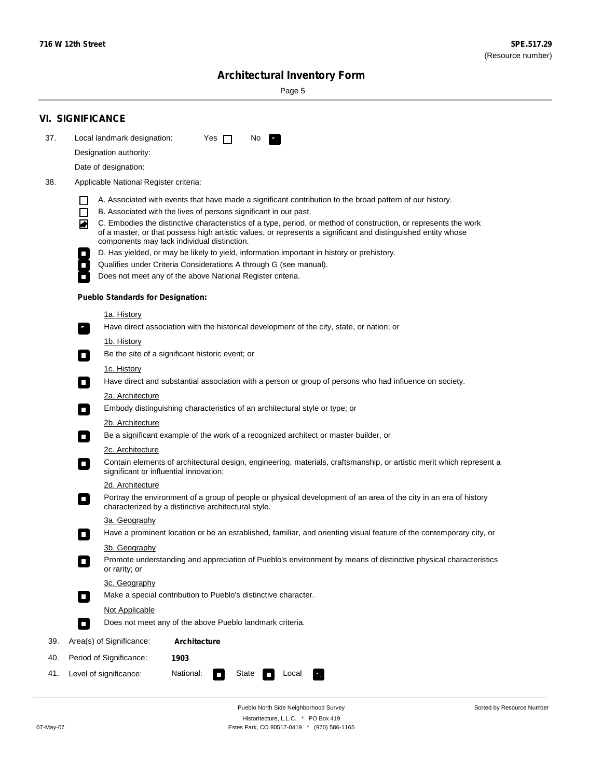Sorted by Resource Number

# **Architectural Inventory Form**

Page 5

|     | <b>VI. SIGNIFICANCE</b>                                                                                                                                                                                                                                                                                                                                                                                                                                                                                                                                                                                                                                                                                                                                                                                                                                                                                                                                                                                                                                                                                                                                                                                                                                                                                                                                                                                                                                                                                                                                                                                                                                                                                                                                                                                                                                                                                                                                                                                                                                                                                                                                                                                                                                          |  |  |  |  |  |  |  |
|-----|------------------------------------------------------------------------------------------------------------------------------------------------------------------------------------------------------------------------------------------------------------------------------------------------------------------------------------------------------------------------------------------------------------------------------------------------------------------------------------------------------------------------------------------------------------------------------------------------------------------------------------------------------------------------------------------------------------------------------------------------------------------------------------------------------------------------------------------------------------------------------------------------------------------------------------------------------------------------------------------------------------------------------------------------------------------------------------------------------------------------------------------------------------------------------------------------------------------------------------------------------------------------------------------------------------------------------------------------------------------------------------------------------------------------------------------------------------------------------------------------------------------------------------------------------------------------------------------------------------------------------------------------------------------------------------------------------------------------------------------------------------------------------------------------------------------------------------------------------------------------------------------------------------------------------------------------------------------------------------------------------------------------------------------------------------------------------------------------------------------------------------------------------------------------------------------------------------------------------------------------------------------|--|--|--|--|--|--|--|
| 37. | Local landmark designation:<br>Yes $\Box$<br>No.                                                                                                                                                                                                                                                                                                                                                                                                                                                                                                                                                                                                                                                                                                                                                                                                                                                                                                                                                                                                                                                                                                                                                                                                                                                                                                                                                                                                                                                                                                                                                                                                                                                                                                                                                                                                                                                                                                                                                                                                                                                                                                                                                                                                                 |  |  |  |  |  |  |  |
|     | Designation authority:                                                                                                                                                                                                                                                                                                                                                                                                                                                                                                                                                                                                                                                                                                                                                                                                                                                                                                                                                                                                                                                                                                                                                                                                                                                                                                                                                                                                                                                                                                                                                                                                                                                                                                                                                                                                                                                                                                                                                                                                                                                                                                                                                                                                                                           |  |  |  |  |  |  |  |
|     | Date of designation:                                                                                                                                                                                                                                                                                                                                                                                                                                                                                                                                                                                                                                                                                                                                                                                                                                                                                                                                                                                                                                                                                                                                                                                                                                                                                                                                                                                                                                                                                                                                                                                                                                                                                                                                                                                                                                                                                                                                                                                                                                                                                                                                                                                                                                             |  |  |  |  |  |  |  |
| 38. | Applicable National Register criteria:                                                                                                                                                                                                                                                                                                                                                                                                                                                                                                                                                                                                                                                                                                                                                                                                                                                                                                                                                                                                                                                                                                                                                                                                                                                                                                                                                                                                                                                                                                                                                                                                                                                                                                                                                                                                                                                                                                                                                                                                                                                                                                                                                                                                                           |  |  |  |  |  |  |  |
|     | A. Associated with events that have made a significant contribution to the broad pattern of our history.<br>B. Associated with the lives of persons significant in our past.<br>C. Embodies the distinctive characteristics of a type, period, or method of construction, or represents the work<br>◙<br>of a master, or that possess high artistic values, or represents a significant and distinguished entity whose<br>components may lack individual distinction.<br>D. Has yielded, or may be likely to yield, information important in history or prehistory.<br>Qualifies under Criteria Considerations A through G (see manual).<br>Does not meet any of the above National Register criteria.<br><b>Pueblo Standards for Designation:</b><br><u>1a. History</u><br>Have direct association with the historical development of the city, state, or nation; or<br>$\overline{\phantom{a}}$ .<br><u>1b. History</u><br>Be the site of a significant historic event; or<br>$\Box$<br>1c. History<br>Have direct and substantial association with a person or group of persons who had influence on society.<br>$\sim$<br>2a. Architecture<br>Embody distinguishing characteristics of an architectural style or type; or<br>$\overline{\phantom{a}}$<br>2b. Architecture<br>Be a significant example of the work of a recognized architect or master builder, or<br>$\overline{\phantom{a}}$<br>2c. Architecture<br>Contain elements of architectural design, engineering, materials, craftsmanship, or artistic merit which represent a<br>$\mathcal{L}_{\mathcal{A}}$<br>significant or influential innovation;<br>2d. Architecture<br>Portray the environment of a group of people or physical development of an area of the city in an era of history<br>$\mathcal{L}_{\mathcal{A}}$<br>characterized by a distinctive architectural style.<br>3a. Geography<br>Have a prominent location or be an established, familiar, and orienting visual feature of the contemporary city, or<br>П<br>3b. Geography<br>Promote understanding and appreciation of Pueblo's environment by means of distinctive physical characteristics<br>or rarity; or<br>3c. Geography<br>Make a special contribution to Pueblo's distinctive character.<br>О<br>Not Applicable |  |  |  |  |  |  |  |
|     | Does not meet any of the above Pueblo landmark criteria.<br>$\overline{\phantom{a}}$                                                                                                                                                                                                                                                                                                                                                                                                                                                                                                                                                                                                                                                                                                                                                                                                                                                                                                                                                                                                                                                                                                                                                                                                                                                                                                                                                                                                                                                                                                                                                                                                                                                                                                                                                                                                                                                                                                                                                                                                                                                                                                                                                                             |  |  |  |  |  |  |  |
| 39. | Area(s) of Significance:<br>Architecture                                                                                                                                                                                                                                                                                                                                                                                                                                                                                                                                                                                                                                                                                                                                                                                                                                                                                                                                                                                                                                                                                                                                                                                                                                                                                                                                                                                                                                                                                                                                                                                                                                                                                                                                                                                                                                                                                                                                                                                                                                                                                                                                                                                                                         |  |  |  |  |  |  |  |
| 40. | Period of Significance:<br>1903                                                                                                                                                                                                                                                                                                                                                                                                                                                                                                                                                                                                                                                                                                                                                                                                                                                                                                                                                                                                                                                                                                                                                                                                                                                                                                                                                                                                                                                                                                                                                                                                                                                                                                                                                                                                                                                                                                                                                                                                                                                                                                                                                                                                                                  |  |  |  |  |  |  |  |
| 41. | National:<br>Level of significance:<br>State<br>Local                                                                                                                                                                                                                                                                                                                                                                                                                                                                                                                                                                                                                                                                                                                                                                                                                                                                                                                                                                                                                                                                                                                                                                                                                                                                                                                                                                                                                                                                                                                                                                                                                                                                                                                                                                                                                                                                                                                                                                                                                                                                                                                                                                                                            |  |  |  |  |  |  |  |

Pueblo North Side Neighborhood Survey Historitecture, L.L.C. \* PO Box 419 07-May-07 Estes Park, CO 80517-0419 \* (970) 586-1165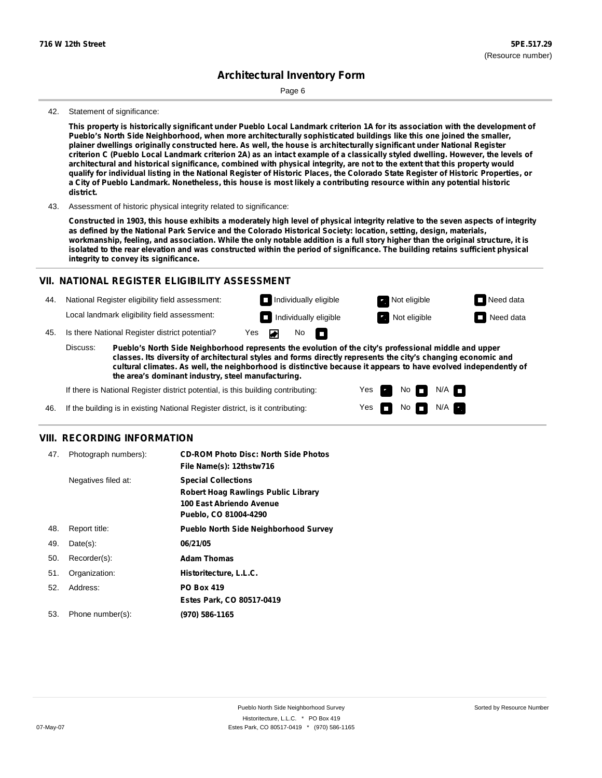Page 6

#### 42. Statement of significance:

This property is historically significant under Pueblo Local Landmark criterion 1A for its association with the development of **Pueblo's North Side Neighborhood, when more architecturally sophisticated buildings like this one joined the smaller,** plainer dwellings originally constructed here. As well, the house is architecturally significant under National Register criterion C (Pueblo Local Landmark criterion 2A) as an intact example of a classically styled dwelling. However, the levels of architectural and historical significance, combined with physical integrity, are not to the extent that this property would qualify for individual listing in the National Register of Historic Places, the Colorado State Register of Historic Properties, or a City of Pueblo Landmark. Nonetheless, this house is most likely a contributing resource within any potential historic **district.**

43. Assessment of historic physical integrity related to significance:

Constructed in 1903, this house exhibits a moderately high level of physical integrity relative to the seven aspects of integrity as defined by the National Park Service and the Colorado Historical Society: location, setting, design, materials, workmanship, feeling, and association. While the only notable addition is a full story higher than the original structure, it is isolated to the rear elevation and was constructed within the period of significance. The building retains sufficient physical **integrity to convey its significance.**

### **VII. NATIONAL REGISTER ELIGIBILITY ASSESSMENT**

- 44. National Register eligibility field assessment: Local landmark eligibility field assessment:
- **Individually eligible Not eligible** Not eligible **Need data** 45. Is there National Register district potential? Yes  $\overline{\bullet}$ No

**Pueblo's North Side Neighborhood represents the evolution of the city's professional middle and upper classes. Its diversity of architectural styles and forms directly represents the city's changing economic and cultural climates. As well, the neighborhood is distinctive because it appears to have evolved independently of the area's dominant industry, steel manufacturing.** Discuss:

m

Yes Yes No

**Individually eligible Not eligible** Not eligible **Need data** 

No **N/A** 

 $N/A$   $\Box$ 

If there is National Register district potential, is this building contributing:

If the building is in existing National Register district, is it contributing: 46.

### **VIII. RECORDING INFORMATION**

| 47. | Photograph numbers): | <b>CD-ROM Photo Disc: North Side Photos</b><br>File Name(s): 12thstw716                                                       |
|-----|----------------------|-------------------------------------------------------------------------------------------------------------------------------|
|     | Negatives filed at:  | <b>Special Collections</b><br><b>Robert Hoag Rawlings Public Library</b><br>100 East Abriendo Avenue<br>Pueblo, CO 81004-4290 |
| 48. | Report title:        | <b>Pueblo North Side Neighborhood Survey</b>                                                                                  |
| 49. | $Date(s)$ :          | 06/21/05                                                                                                                      |
| 50. | Recorder(s):         | <b>Adam Thomas</b>                                                                                                            |
| 51. | Organization:        | Historitecture, L.L.C.                                                                                                        |
| 52. | Address:             | <b>PO Box 419</b>                                                                                                             |
|     |                      | Estes Park, CO 80517-0419                                                                                                     |
| 53. | Phone number(s):     | (970) 586-1165                                                                                                                |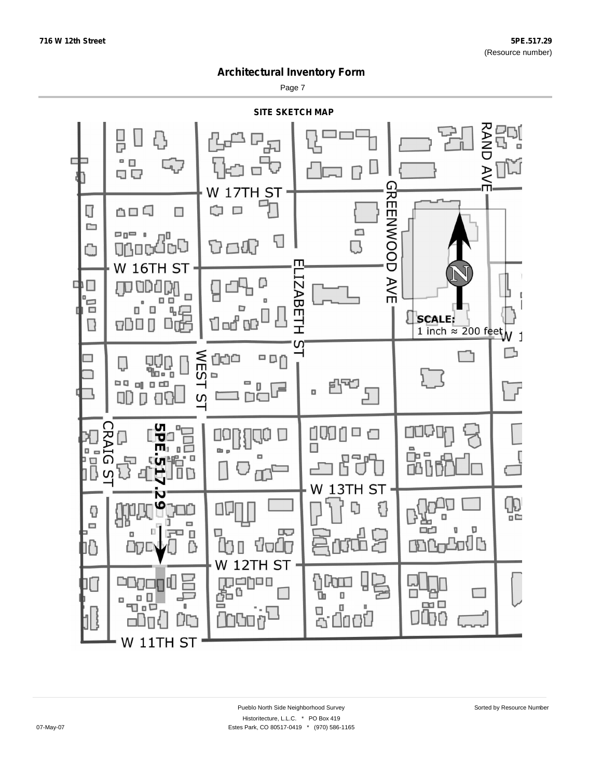Page 7